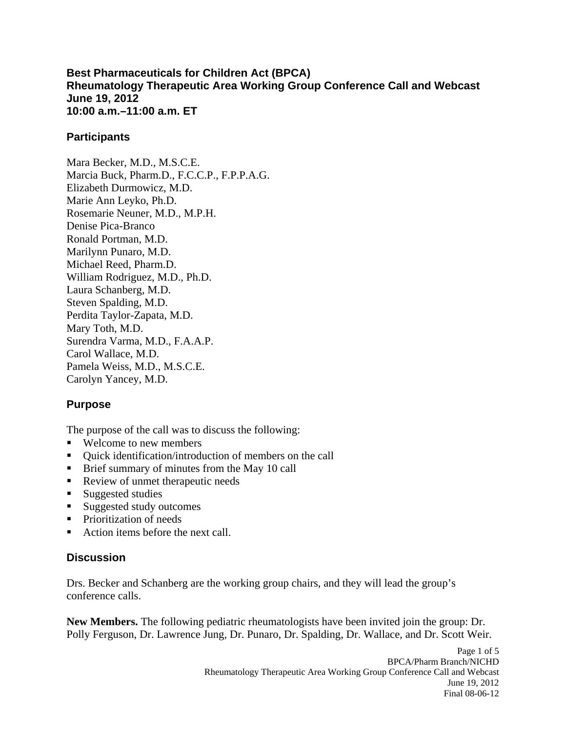### **Best Pharmaceuticals for Children Act (BPCA) Rheumatology Therapeutic Area Working Group Conference Call and Webcast June 19, 2012 10:00 a.m.–11:00 a.m. ET**

## **Participants**

Mara Becker, M.D., M.S.C.E. Marcia Buck, Pharm.D., F.C.C.P., F.P.P.A.G. Elizabeth Durmowicz, M.D. Marie Ann Leyko, Ph.D. Rosemarie Neuner, M.D., M.P.H. Denise Pica-Branco Ronald Portman, M.D. Marilynn Punaro, M.D. Michael Reed, Pharm.D. William Rodriguez, M.D., Ph.D. Laura Schanberg, M.D. Steven Spalding, M.D. Perdita Taylor-Zapata, M.D. Mary Toth, M.D. Surendra Varma, M.D., F.A.A.P. Carol Wallace, M.D. Pamela Weiss, M.D., M.S.C.E. Carolyn Yancey, M.D.

# **Purpose**

The purpose of the call was to discuss the following:

- Welcome to new members
- Ouick identification/introduction of members on the call
- **Brief summary of minutes from the May 10 call**
- Review of unmet therapeutic needs
- Suggested studies
- Suggested study outcomes
- **Prioritization of needs**
- Action items before the next call.

## **Discussion**

Drs. Becker and Schanberg are the working group chairs, and they will lead the group's conference calls.

**New Members.** The following pediatric rheumatologists have been invited join the group: Dr. Polly Ferguson, Dr. Lawrence Jung, Dr. Punaro, Dr. Spalding, Dr. Wallace, and Dr. Scott Weir.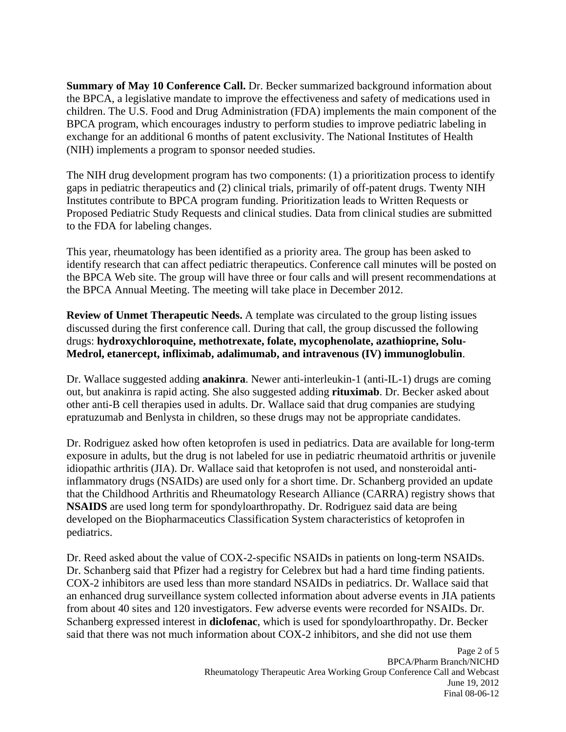**Summary of May 10 Conference Call.** Dr. Becker summarized background information about the BPCA, a legislative mandate to improve the effectiveness and safety of medications used in children. The U.S. Food and Drug Administration (FDA) implements the main component of the BPCA program, which encourages industry to perform studies to improve pediatric labeling in exchange for an additional 6 months of patent exclusivity. The National Institutes of Health (NIH) implements a program to sponsor needed studies.

The NIH drug development program has two components: (1) a prioritization process to identify gaps in pediatric therapeutics and (2) clinical trials, primarily of off-patent drugs. Twenty NIH Institutes contribute to BPCA program funding. Prioritization leads to Written Requests or Proposed Pediatric Study Requests and clinical studies. Data from clinical studies are submitted to the FDA for labeling changes.

This year, rheumatology has been identified as a priority area. The group has been asked to identify research that can affect pediatric therapeutics. Conference call minutes will be posted on the BPCA Web site. The group will have three or four calls and will present recommendations at the BPCA Annual Meeting. The meeting will take place in December 2012.

**Review of Unmet Therapeutic Needs.** A template was circulated to the group listing issues discussed during the first conference call. During that call, the group discussed the following drugs: **hydroxychloroquine, methotrexate, folate, mycophenolate, azathioprine, Solu-Medrol, etanercept, infliximab, adalimumab, and intravenous (IV) immunoglobulin**.

Dr. Wallace suggested adding **anakinra**. Newer anti-interleukin-1 (anti-IL-1) drugs are coming out, but anakinra is rapid acting. She also suggested adding **rituximab**. Dr. Becker asked about other anti-B cell therapies used in adults. Dr. Wallace said that drug companies are studying epratuzumab and Benlysta in children, so these drugs may not be appropriate candidates.

Dr. Rodriguez asked how often ketoprofen is used in pediatrics. Data are available for long-term exposure in adults, but the drug is not labeled for use in pediatric rheumatoid arthritis or juvenile idiopathic arthritis (JIA). Dr. Wallace said that ketoprofen is not used, and nonsteroidal antiinflammatory drugs (NSAIDs) are used only for a short time. Dr. Schanberg provided an update that the Childhood Arthritis and Rheumatology Research Alliance (CARRA) registry shows that **NSAIDS** are used long term for spondyloarthropathy. Dr. Rodriguez said data are being developed on the Biopharmaceutics Classification System characteristics of ketoprofen in pediatrics.

Dr. Reed asked about the value of COX-2-specific NSAIDs in patients on long-term NSAIDs. Dr. Schanberg said that Pfizer had a registry for Celebrex but had a hard time finding patients. COX-2 inhibitors are used less than more standard NSAIDs in pediatrics. Dr. Wallace said that an enhanced drug surveillance system collected information about adverse events in JIA patients from about 40 sites and 120 investigators. Few adverse events were recorded for NSAIDs. Dr. Schanberg expressed interest in **diclofenac**, which is used for spondyloarthropathy. Dr. Becker said that there was not much information about COX-2 inhibitors, and she did not use them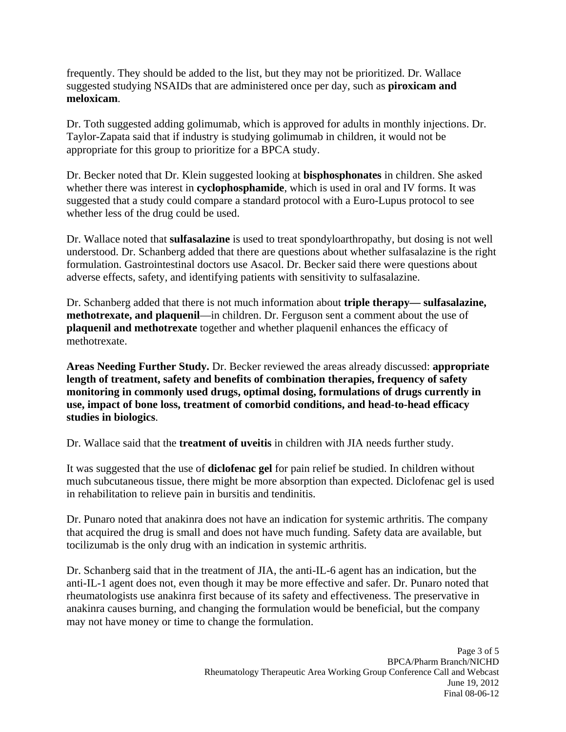frequently. They should be added to the list, but they may not be prioritized. Dr. Wallace suggested studying NSAIDs that are administered once per day, such as **piroxicam and meloxicam**.

Dr. Toth suggested adding golimumab, which is approved for adults in monthly injections. Dr. Taylor-Zapata said that if industry is studying golimumab in children, it would not be appropriate for this group to prioritize for a BPCA study.

Dr. Becker noted that Dr. Klein suggested looking at **bisphosphonates** in children. She asked whether there was interest in **cyclophosphamide**, which is used in oral and IV forms. It was suggested that a study could compare a standard protocol with a Euro-Lupus protocol to see whether less of the drug could be used.

Dr. Wallace noted that **sulfasalazine** is used to treat spondyloarthropathy, but dosing is not well understood. Dr. Schanberg added that there are questions about whether sulfasalazine is the right formulation. Gastrointestinal doctors use Asacol. Dr. Becker said there were questions about adverse effects, safety, and identifying patients with sensitivity to sulfasalazine.

Dr. Schanberg added that there is not much information about **triple therapy— sulfasalazine, methotrexate, and plaquenil**—in children. Dr. Ferguson sent a comment about the use of **plaquenil and methotrexate** together and whether plaquenil enhances the efficacy of methotrexate.

**Areas Needing Further Study.** Dr. Becker reviewed the areas already discussed: **appropriate length of treatment, safety and benefits of combination therapies, frequency of safety monitoring in commonly used drugs, optimal dosing, formulations of drugs currently in use, impact of bone loss, treatment of comorbid conditions, and head-to-head efficacy studies in biologics**.

Dr. Wallace said that the **treatment of uveitis** in children with JIA needs further study.

It was suggested that the use of **diclofenac gel** for pain relief be studied. In children without much subcutaneous tissue, there might be more absorption than expected. Diclofenac gel is used in rehabilitation to relieve pain in bursitis and tendinitis.

Dr. Punaro noted that anakinra does not have an indication for systemic arthritis. The company that acquired the drug is small and does not have much funding. Safety data are available, but tocilizumab is the only drug with an indication in systemic arthritis.

Dr. Schanberg said that in the treatment of JIA, the anti-IL-6 agent has an indication, but the anti-IL-1 agent does not, even though it may be more effective and safer. Dr. Punaro noted that rheumatologists use anakinra first because of its safety and effectiveness. The preservative in anakinra causes burning, and changing the formulation would be beneficial, but the company may not have money or time to change the formulation.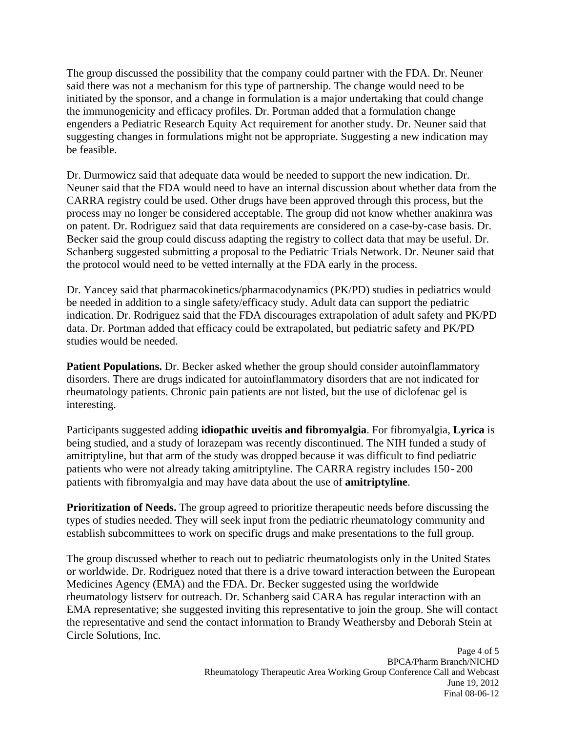The group discussed the possibility that the company could partner with the FDA. Dr. Neuner said there was not a mechanism for this type of partnership. The change would need to be initiated by the sponsor, and a change in formulation is a major undertaking that could change the immunogenicity and efficacy profiles. Dr. Portman added that a formulation change engenders a Pediatric Research Equity Act requirement for another study. Dr. Neuner said that suggesting changes in formulations might not be appropriate. Suggesting a new indication may be feasible.

Dr. Durmowicz said that adequate data would be needed to support the new indication. Dr. Neuner said that the FDA would need to have an internal discussion about whether data from the CARRA registry could be used. Other drugs have been approved through this process, but the process may no longer be considered acceptable. The group did not know whether anakinra was on patent. Dr. Rodriguez said that data requirements are considered on a case-by-case basis. Dr. Becker said the group could discuss adapting the registry to collect data that may be useful. Dr. Schanberg suggested submitting a proposal to the Pediatric Trials Network. Dr. Neuner said that the protocol would need to be vetted internally at the FDA early in the process.

Dr. Yancey said that pharmacokinetics/pharmacodynamics (PK/PD) studies in pediatrics would be needed in addition to a single safety/efficacy study. Adult data can support the pediatric indication. Dr. Rodriguez said that the FDA discourages extrapolation of adult safety and PK/PD data. Dr. Portman added that efficacy could be extrapolated, but pediatric safety and PK/PD studies would be needed.

**Patient Populations.** Dr. Becker asked whether the group should consider autoinflammatory disorders. There are drugs indicated for autoinflammatory disorders that are not indicated for rheumatology patients. Chronic pain patients are not listed, but the use of diclofenac gel is interesting.

Participants suggested adding **idiopathic uveitis and fibromyalgia**. For fibromyalgia, **Lyrica** is being studied, and a study of lorazepam was recently discontinued. The NIH funded a study of amitriptyline, but that arm of the study was dropped because it was difficult to find pediatric patients who were not already taking amitriptyline. The CARRA registry includes 150-200 patients with fibromyalgia and may have data about the use of **amitriptyline**.

**Prioritization of Needs.** The group agreed to prioritize therapeutic needs before discussing the types of studies needed. They will seek input from the pediatric rheumatology community and establish subcommittees to work on specific drugs and make presentations to the full group.

The group discussed whether to reach out to pediatric rheumatologists only in the United States or worldwide. Dr. Rodriguez noted that there is a drive toward interaction between the European Medicines Agency (EMA) and the FDA. Dr. Becker suggested using the worldwide rheumatology listserv for outreach. Dr. Schanberg said CARA has regular interaction with an EMA representative; she suggested inviting this representative to join the group. She will contact the representative and send the contact information to Brandy Weathersby and Deborah Stein at Circle Solutions, Inc.